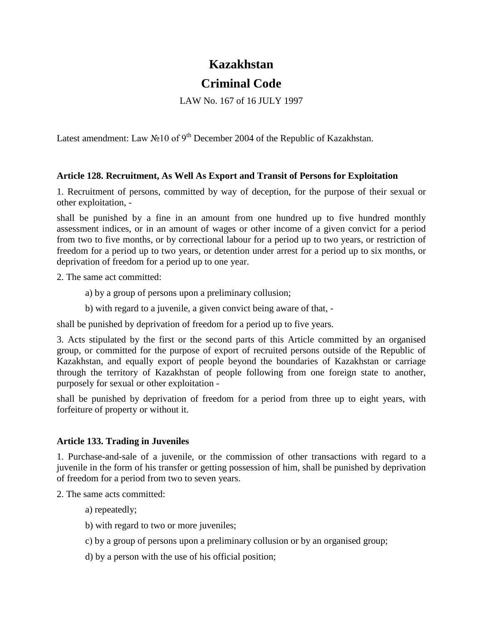## **Kazakhstan**

## **Criminal Code**

LAW No. 167 of 16 JULY 1997

Latest amendment: Law  $\mathcal{N}$ <sup>10</sup> of 9<sup>th</sup> December 2004 of the Republic of Kazakhstan.

## **Article 128. Recruitment, As Well As Export and Transit of Persons for Exploitation**

1. Recruitment of persons, committed by way of deception, for the purpose of their sexual or other exploitation, -

shall be punished by a fine in an amount from one hundred up to five hundred monthly assessment indices, or in an amount of wages or other income of a given convict for a period from two to five months, or by correctional labour for a period up to two years, or restriction of freedom for a period up to two years, or detention under arrest for a period up to six months, or deprivation of freedom for a period up to one year.

2. The same act committed:

- a) by a group of persons upon a preliminary collusion;
- b) with regard to a juvenile, a given convict being aware of that, -

shall be punished by deprivation of freedom for a period up to five years.

3. Acts stipulated by the first or the second parts of this Article committed by an organised group, or committed for the purpose of export of recruited persons outside of the Republic of Kazakhstan, and equally export of people beyond the boundaries of Kazakhstan or carriage through the territory of Kazakhstan of people following from one foreign state to another, purposely for sexual or other exploitation -

shall be punished by deprivation of freedom for a period from three up to eight years, with forfeiture of property or without it.

## **Article 133. Trading in Juveniles**

1. Purchase-and-sale of a juvenile, or the commission of other transactions with regard to a juvenile in the form of his transfer or getting possession of him, shall be punished by deprivation of freedom for a period from two to seven years.

2. The same acts committed:

a) repeatedly;

- b) with regard to two or more juveniles;
- c) by a group of persons upon a preliminary collusion or by an organised group;
- d) by a person with the use of his official position;